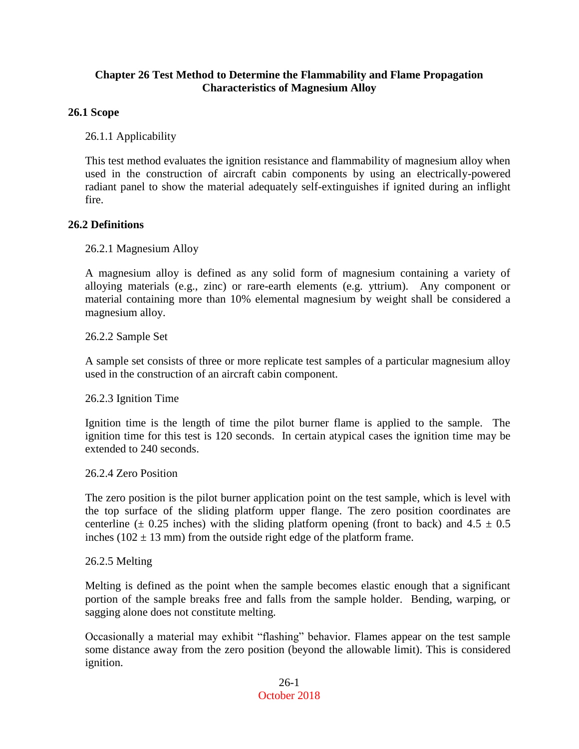### **Chapter 26 Test Method to Determine the Flammability and Flame Propagation Characteristics of Magnesium Alloy**

### **26.1 Scope**

26.1.1 Applicability

This test method evaluates the ignition resistance and flammability of magnesium alloy when used in the construction of aircraft cabin components by using an electrically-powered radiant panel to show the material adequately self-extinguishes if ignited during an inflight fire.

#### **26.2 Definitions**

26.2.1 Magnesium Alloy

A magnesium alloy is defined as any solid form of magnesium containing a variety of alloying materials (e.g., zinc) or rare-earth elements (e.g. yttrium). Any component or material containing more than 10% elemental magnesium by weight shall be considered a magnesium alloy.

26.2.2 Sample Set

A sample set consists of three or more replicate test samples of a particular magnesium alloy used in the construction of an aircraft cabin component.

26.2.3 Ignition Time

Ignition time is the length of time the pilot burner flame is applied to the sample. The ignition time for this test is 120 seconds. In certain atypical cases the ignition time may be extended to 240 seconds.

26.2.4 Zero Position

The zero position is the pilot burner application point on the test sample, which is level with the top surface of the sliding platform upper flange. The zero position coordinates are centerline ( $\pm$  0.25 inches) with the sliding platform opening (front to back) and 4.5  $\pm$  0.5 inches ( $102 \pm 13$  mm) from the outside right edge of the platform frame.

#### 26.2.5 Melting

Melting is defined as the point when the sample becomes elastic enough that a significant portion of the sample breaks free and falls from the sample holder. Bending, warping, or sagging alone does not constitute melting.

Occasionally a material may exhibit "flashing" behavior. Flames appear on the test sample some distance away from the zero position (beyond the allowable limit). This is considered ignition.

> 26-1 October 2018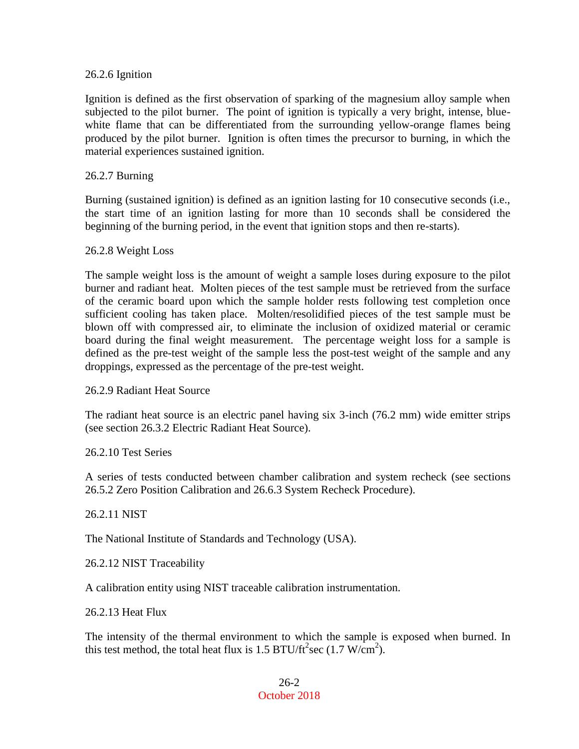#### 26.2.6 Ignition

Ignition is defined as the first observation of sparking of the magnesium alloy sample when subjected to the pilot burner. The point of ignition is typically a very bright, intense, bluewhite flame that can be differentiated from the surrounding yellow-orange flames being produced by the pilot burner. Ignition is often times the precursor to burning, in which the material experiences sustained ignition.

#### 26.2.7 Burning

Burning (sustained ignition) is defined as an ignition lasting for 10 consecutive seconds (i.e., the start time of an ignition lasting for more than 10 seconds shall be considered the beginning of the burning period, in the event that ignition stops and then re-starts).

#### 26.2.8 Weight Loss

The sample weight loss is the amount of weight a sample loses during exposure to the pilot burner and radiant heat. Molten pieces of the test sample must be retrieved from the surface of the ceramic board upon which the sample holder rests following test completion once sufficient cooling has taken place. Molten/resolidified pieces of the test sample must be blown off with compressed air, to eliminate the inclusion of oxidized material or ceramic board during the final weight measurement. The percentage weight loss for a sample is defined as the pre-test weight of the sample less the post-test weight of the sample and any droppings, expressed as the percentage of the pre-test weight.

26.2.9 Radiant Heat Source

The radiant heat source is an electric panel having six 3-inch (76.2 mm) wide emitter strips (see section 26.3.2 Electric Radiant Heat Source).

26.2.10 Test Series

A series of tests conducted between chamber calibration and system recheck (see sections 26.5.2 Zero Position Calibration and 26.6.3 System Recheck Procedure).

26.2.11 NIST

The National Institute of Standards and Technology (USA).

26.2.12 NIST Traceability

A calibration entity using NIST traceable calibration instrumentation.

26.2.13 Heat Flux

The intensity of the thermal environment to which the sample is exposed when burned. In this test method, the total heat flux is 1.5 BTU/ft<sup>2</sup>sec (1.7 W/cm<sup>2</sup>).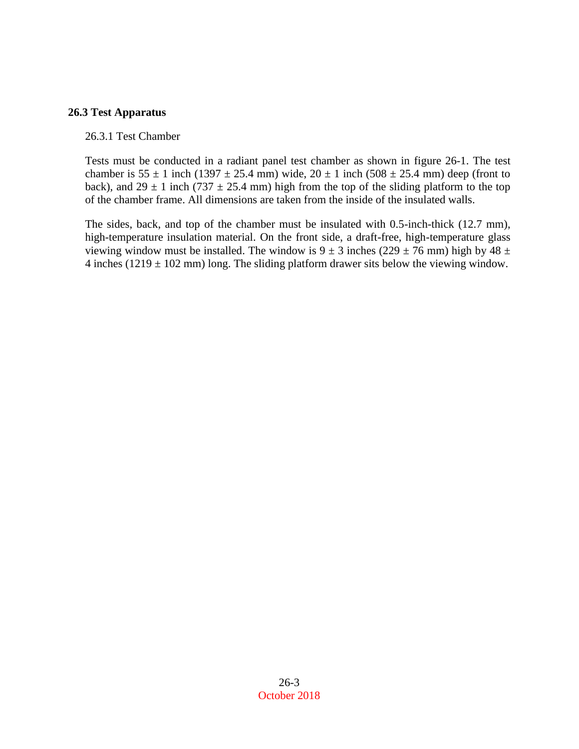### **26.3 Test Apparatus**

#### 26.3.1 Test Chamber

Tests must be conducted in a radiant panel test chamber as shown in figure 26-1. The test chamber is  $55 \pm 1$  inch (1397  $\pm 25.4$  mm) wide,  $20 \pm 1$  inch (508  $\pm 25.4$  mm) deep (front to back), and  $29 \pm 1$  inch (737  $\pm 25.4$  mm) high from the top of the sliding platform to the top of the chamber frame. All dimensions are taken from the inside of the insulated walls.

The sides, back, and top of the chamber must be insulated with 0.5-inch-thick (12.7 mm), high-temperature insulation material. On the front side, a draft-free, high-temperature glass viewing window must be installed. The window is  $9 \pm 3$  inches (229  $\pm$  76 mm) high by 48  $\pm$ 4 inches ( $1219 \pm 102$  mm) long. The sliding platform drawer sits below the viewing window.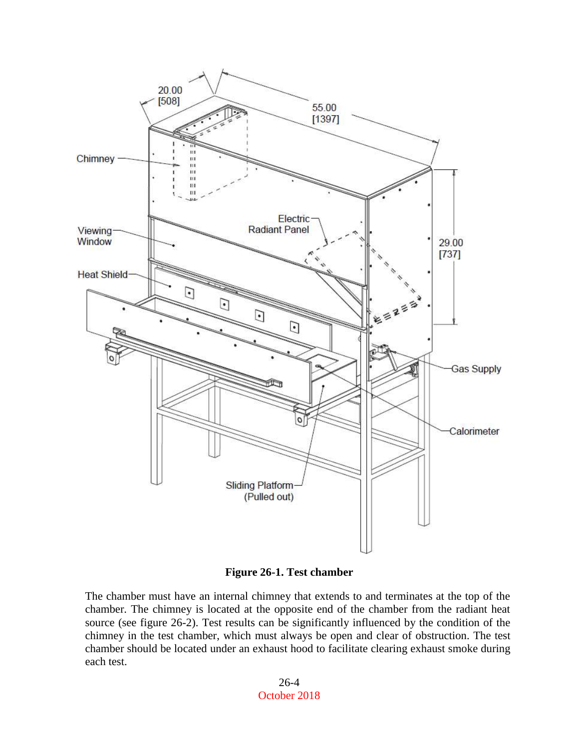

**Figure 26-1. Test chamber**

The chamber must have an internal chimney that extends to and terminates at the top of the chamber. The chimney is located at the opposite end of the chamber from the radiant heat source (see figure 26-2). Test results can be significantly influenced by the condition of the chimney in the test chamber, which must always be open and clear of obstruction. The test chamber should be located under an exhaust hood to facilitate clearing exhaust smoke during each test.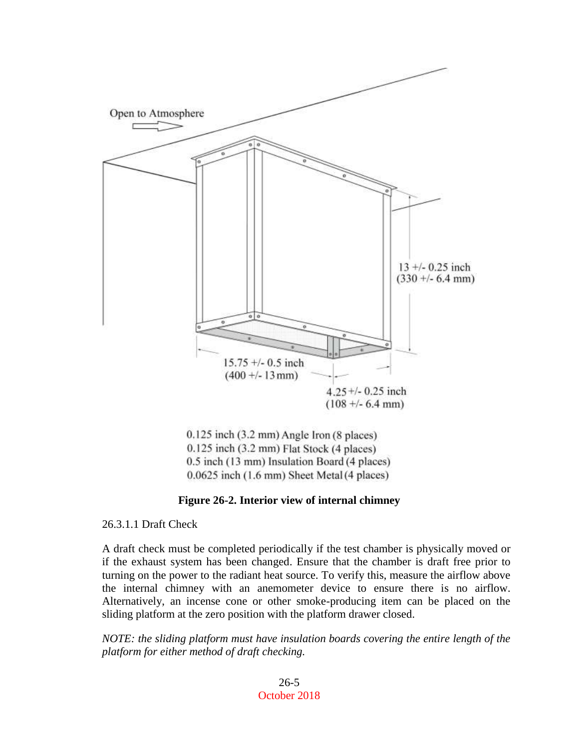

 $0.125$  inch  $(3.2 \text{ mm})$  Angle Iron  $(8 \text{ places})$ 0.125 inch (3.2 mm) Flat Stock (4 places) 0.5 inch (13 mm) Insulation Board (4 places) 0.0625 inch (1.6 mm) Sheet Metal (4 places)

#### **Figure 26-2. Interior view of internal chimney**

26.3.1.1 Draft Check

A draft check must be completed periodically if the test chamber is physically moved or if the exhaust system has been changed. Ensure that the chamber is draft free prior to turning on the power to the radiant heat source. To verify this, measure the airflow above the internal chimney with an anemometer device to ensure there is no airflow. Alternatively, an incense cone or other smoke-producing item can be placed on the sliding platform at the zero position with the platform drawer closed.

*NOTE: the sliding platform must have insulation boards covering the entire length of the platform for either method of draft checking.*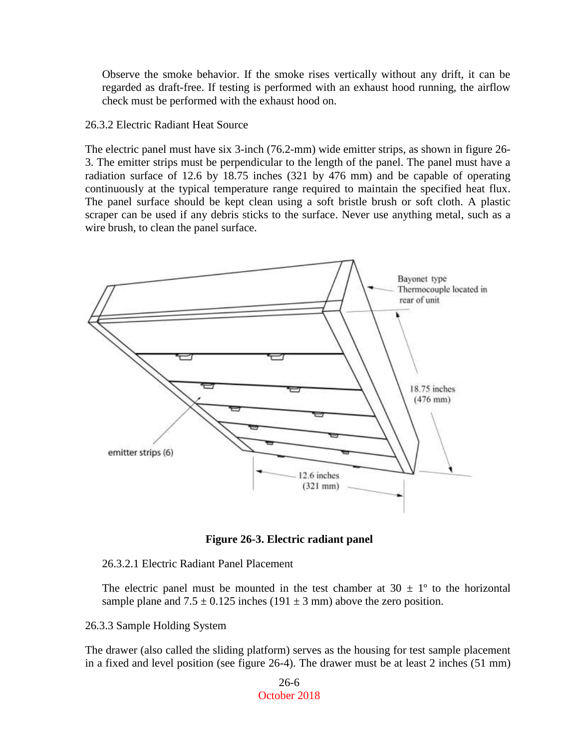Observe the smoke behavior. If the smoke rises vertically without any drift, it can be regarded as draft-free. If testing is performed with an exhaust hood running, the airflow check must be performed with the exhaust hood on.

#### 26.3.2 Electric Radiant Heat Source

The electric panel must have six 3-inch (76.2-mm) wide emitter strips, as shown in figure 26- 3. The emitter strips must be perpendicular to the length of the panel. The panel must have a radiation surface of 12.6 by 18.75 inches (321 by 476 mm) and be capable of operating continuously at the typical temperature range required to maintain the specified heat flux. The panel surface should be kept clean using a soft bristle brush or soft cloth. A plastic scraper can be used if any debris sticks to the surface. Never use anything metal, such as a wire brush, to clean the panel surface.



**Figure 26-3. Electric radiant panel**

26.3.2.1 Electric Radiant Panel Placement

The electric panel must be mounted in the test chamber at  $30 \pm 1^{\circ}$  to the horizontal sample plane and  $7.5 \pm 0.125$  inches (191  $\pm$  3 mm) above the zero position.

26.3.3 Sample Holding System

The drawer (also called the sliding platform) serves as the housing for test sample placement in a fixed and level position (see figure 26-4). The drawer must be at least 2 inches (51 mm)

> 26-6 October 2018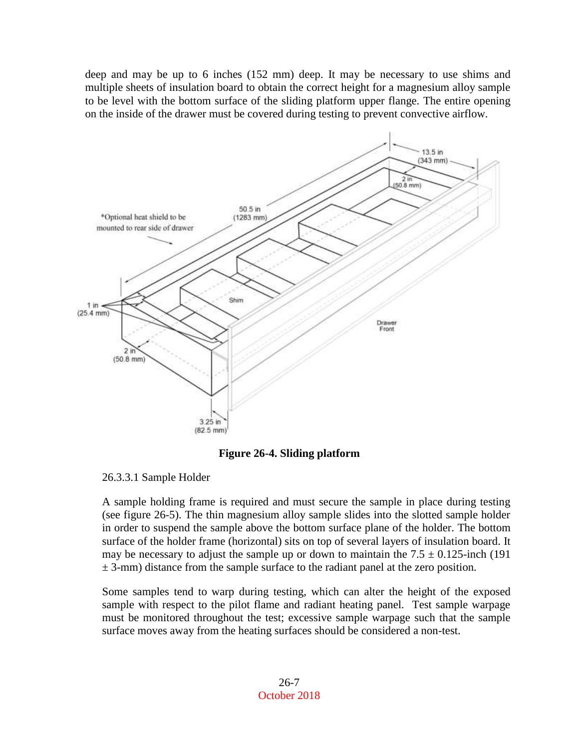deep and may be up to 6 inches (152 mm) deep. It may be necessary to use shims and multiple sheets of insulation board to obtain the correct height for a magnesium alloy sample to be level with the bottom surface of the sliding platform upper flange. The entire opening on the inside of the drawer must be covered during testing to prevent convective airflow.



**Figure 26-4. Sliding platform**

## 26.3.3.1 Sample Holder

A sample holding frame is required and must secure the sample in place during testing (see figure 26-5). The thin magnesium alloy sample slides into the slotted sample holder in order to suspend the sample above the bottom surface plane of the holder. The bottom surface of the holder frame (horizontal) sits on top of several layers of insulation board. It may be necessary to adjust the sample up or down to maintain the  $7.5 \pm 0.125$ -inch (191)  $\pm$  3-mm) distance from the sample surface to the radiant panel at the zero position.

Some samples tend to warp during testing, which can alter the height of the exposed sample with respect to the pilot flame and radiant heating panel. Test sample warpage must be monitored throughout the test; excessive sample warpage such that the sample surface moves away from the heating surfaces should be considered a non-test.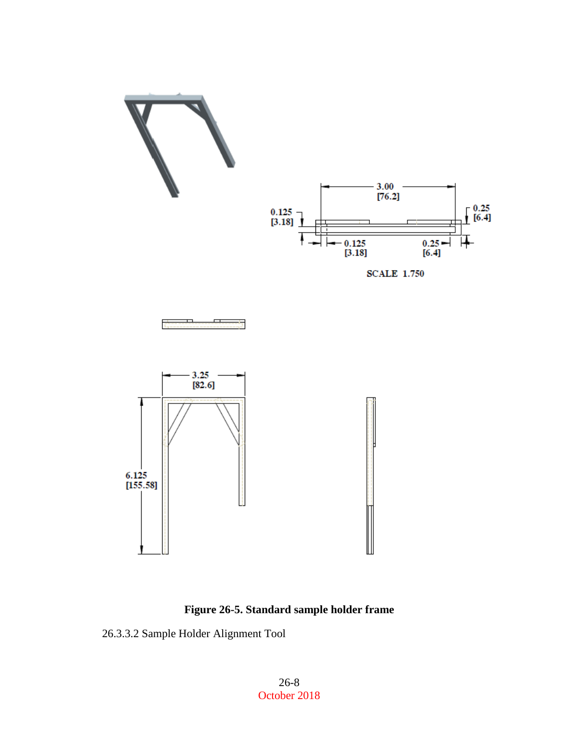

**Figure 26-5. Standard sample holder frame**

26.3.3.2 Sample Holder Alignment Tool

26-8 October 2018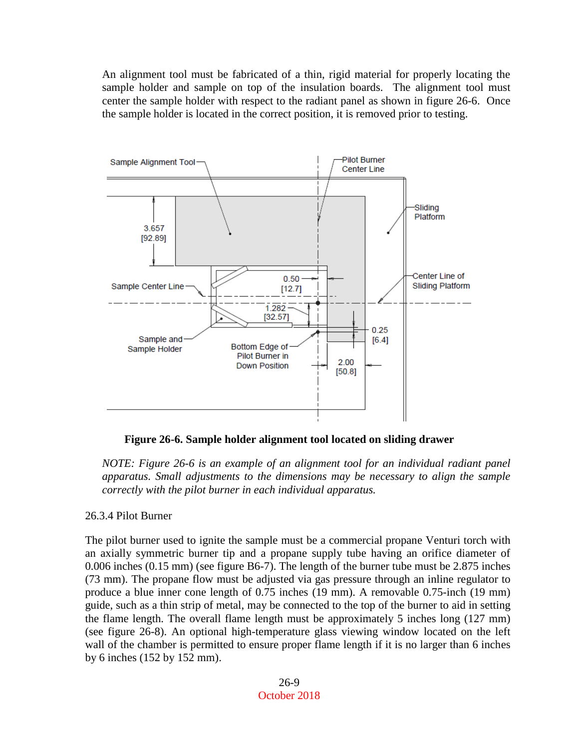An alignment tool must be fabricated of a thin, rigid material for properly locating the sample holder and sample on top of the insulation boards. The alignment tool must center the sample holder with respect to the radiant panel as shown in figure 26-6. Once the sample holder is located in the correct position, it is removed prior to testing.



**Figure 26-6. Sample holder alignment tool located on sliding drawer**

*NOTE: Figure 26-6 is an example of an alignment tool for an individual radiant panel apparatus. Small adjustments to the dimensions may be necessary to align the sample correctly with the pilot burner in each individual apparatus.*

## 26.3.4 Pilot Burner

The pilot burner used to ignite the sample must be a commercial propane Venturi torch with an axially symmetric burner tip and a propane supply tube having an orifice diameter of 0.006 inches (0.15 mm) (see figure B6-7). The length of the burner tube must be 2.875 inches (73 mm). The propane flow must be adjusted via gas pressure through an inline regulator to produce a blue inner cone length of 0.75 inches (19 mm). A removable 0.75-inch (19 mm) guide, such as a thin strip of metal, may be connected to the top of the burner to aid in setting the flame length. The overall flame length must be approximately 5 inches long (127 mm) (see figure 26-8). An optional high-temperature glass viewing window located on the left wall of the chamber is permitted to ensure proper flame length if it is no larger than 6 inches by 6 inches (152 by 152 mm).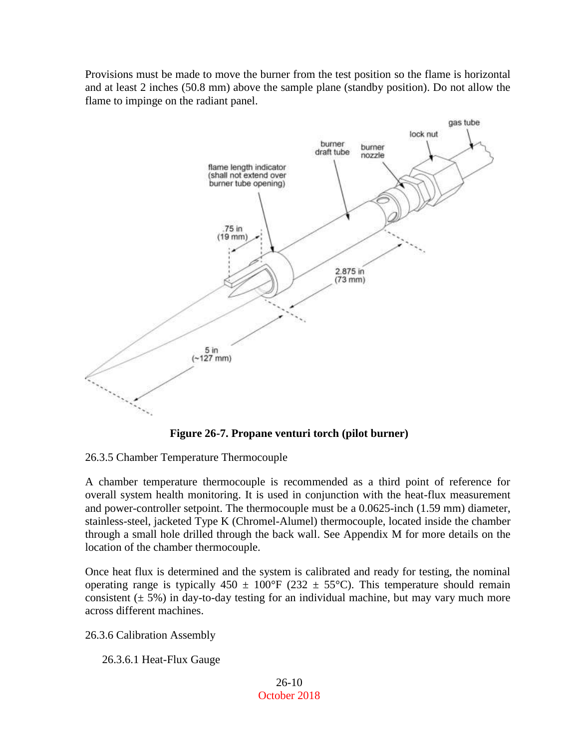Provisions must be made to move the burner from the test position so the flame is horizontal and at least 2 inches (50.8 mm) above the sample plane (standby position). Do not allow the flame to impinge on the radiant panel.



**Figure 26-7. Propane venturi torch (pilot burner)**

26.3.5 Chamber Temperature Thermocouple

A chamber temperature thermocouple is recommended as a third point of reference for overall system health monitoring. It is used in conjunction with the heat-flux measurement and power-controller setpoint. The thermocouple must be a 0.0625-inch (1.59 mm) diameter, stainless-steel, jacketed Type K (Chromel-Alumel) thermocouple, located inside the chamber through a small hole drilled through the back wall. See Appendix M for more details on the location of the chamber thermocouple.

Once heat flux is determined and the system is calibrated and ready for testing, the nominal operating range is typically  $450 \pm 100^{\circ}F$  (232  $\pm 55^{\circ}C$ ). This temperature should remain consistent  $(\pm 5\%)$  in day-to-day testing for an individual machine, but may vary much more across different machines.

26.3.6 Calibration Assembly

26.3.6.1 Heat-Flux Gauge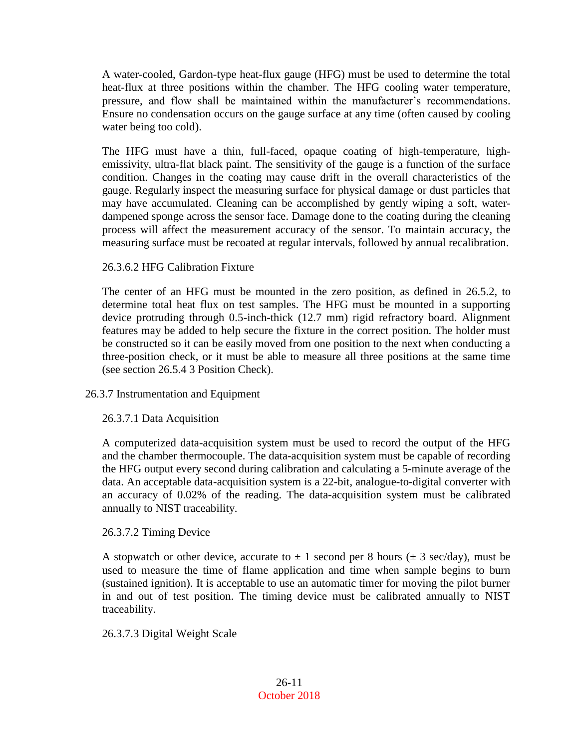A water-cooled, Gardon-type heat-flux gauge (HFG) must be used to determine the total heat-flux at three positions within the chamber. The HFG cooling water temperature, pressure, and flow shall be maintained within the manufacturer's recommendations. Ensure no condensation occurs on the gauge surface at any time (often caused by cooling water being too cold).

The HFG must have a thin, full-faced, opaque coating of high-temperature, highemissivity, ultra-flat black paint. The sensitivity of the gauge is a function of the surface condition. Changes in the coating may cause drift in the overall characteristics of the gauge. Regularly inspect the measuring surface for physical damage or dust particles that may have accumulated. Cleaning can be accomplished by gently wiping a soft, waterdampened sponge across the sensor face. Damage done to the coating during the cleaning process will affect the measurement accuracy of the sensor. To maintain accuracy, the measuring surface must be recoated at regular intervals, followed by annual recalibration.

## 26.3.6.2 HFG Calibration Fixture

The center of an HFG must be mounted in the zero position, as defined in 26.5.2, to determine total heat flux on test samples. The HFG must be mounted in a supporting device protruding through 0.5-inch-thick (12.7 mm) rigid refractory board. Alignment features may be added to help secure the fixture in the correct position. The holder must be constructed so it can be easily moved from one position to the next when conducting a three-position check, or it must be able to measure all three positions at the same time (see section 26.5.4 3 Position Check).

## 26.3.7 Instrumentation and Equipment

## 26.3.7.1 Data Acquisition

A computerized data-acquisition system must be used to record the output of the HFG and the chamber thermocouple. The data-acquisition system must be capable of recording the HFG output every second during calibration and calculating a 5-minute average of the data. An acceptable data-acquisition system is a 22-bit, analogue-to-digital converter with an accuracy of 0.02% of the reading. The data-acquisition system must be calibrated annually to NIST traceability.

## 26.3.7.2 Timing Device

A stopwatch or other device, accurate to  $\pm$  1 second per 8 hours ( $\pm$  3 sec/day), must be used to measure the time of flame application and time when sample begins to burn (sustained ignition). It is acceptable to use an automatic timer for moving the pilot burner in and out of test position. The timing device must be calibrated annually to NIST traceability.

## 26.3.7.3 Digital Weight Scale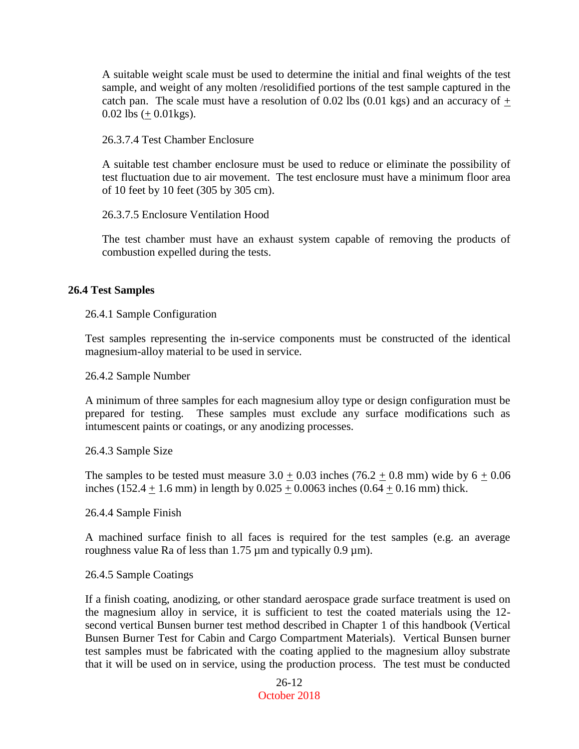A suitable weight scale must be used to determine the initial and final weights of the test sample, and weight of any molten /resolidified portions of the test sample captured in the catch pan. The scale must have a resolution of 0.02 lbs (0.01 kgs) and an accuracy of  $+$ 0.02 lbs  $(+ 0.01 \text{kg})$ .

26.3.7.4 Test Chamber Enclosure

A suitable test chamber enclosure must be used to reduce or eliminate the possibility of test fluctuation due to air movement. The test enclosure must have a minimum floor area of 10 feet by 10 feet (305 by 305 cm).

26.3.7.5 Enclosure Ventilation Hood

The test chamber must have an exhaust system capable of removing the products of combustion expelled during the tests.

#### **26.4 Test Samples**

26.4.1 Sample Configuration

Test samples representing the in-service components must be constructed of the identical magnesium-alloy material to be used in service.

26.4.2 Sample Number

A minimum of three samples for each magnesium alloy type or design configuration must be prepared for testing. These samples must exclude any surface modifications such as intumescent paints or coatings, or any anodizing processes.

26.4.3 Sample Size

The samples to be tested must measure  $3.0 + 0.03$  inches  $(76.2 + 0.8 \text{ mm})$  wide by  $6 + 0.06$ inches (152.4  $\pm$  1.6 mm) in length by 0.025  $\pm$  0.0063 inches (0.64  $\pm$  0.16 mm) thick.

26.4.4 Sample Finish

A machined surface finish to all faces is required for the test samples (e.g. an average roughness value Ra of less than  $1.75 \mu m$  and typically 0.9  $\mu m$ ).

26.4.5 Sample Coatings

If a finish coating, anodizing, or other standard aerospace grade surface treatment is used on the magnesium alloy in service, it is sufficient to test the coated materials using the 12 second vertical Bunsen burner test method described in Chapter 1 of this handbook (Vertical Bunsen Burner Test for Cabin and Cargo Compartment Materials). Vertical Bunsen burner test samples must be fabricated with the coating applied to the magnesium alloy substrate that it will be used on in service, using the production process. The test must be conducted

> 26-12 October 2018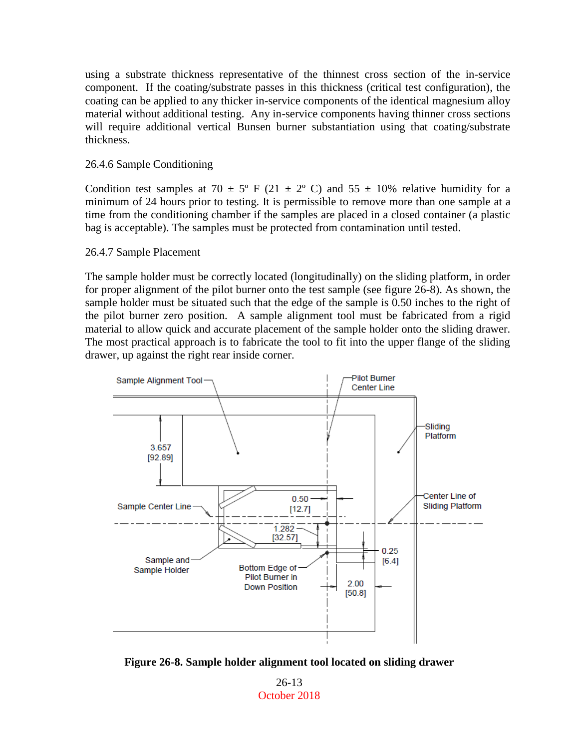using a substrate thickness representative of the thinnest cross section of the in-service component. If the coating/substrate passes in this thickness (critical test configuration), the coating can be applied to any thicker in-service components of the identical magnesium alloy material without additional testing. Any in-service components having thinner cross sections will require additional vertical Bunsen burner substantiation using that coating/substrate thickness.

#### 26.4.6 Sample Conditioning

Condition test samples at 70  $\pm$  5° F (21  $\pm$  2° C) and 55  $\pm$  10% relative humidity for a minimum of 24 hours prior to testing. It is permissible to remove more than one sample at a time from the conditioning chamber if the samples are placed in a closed container (a plastic bag is acceptable). The samples must be protected from contamination until tested.

#### 26.4.7 Sample Placement

The sample holder must be correctly located (longitudinally) on the sliding platform, in order for proper alignment of the pilot burner onto the test sample (see figure 26-8). As shown, the sample holder must be situated such that the edge of the sample is 0.50 inches to the right of the pilot burner zero position. A sample alignment tool must be fabricated from a rigid material to allow quick and accurate placement of the sample holder onto the sliding drawer. The most practical approach is to fabricate the tool to fit into the upper flange of the sliding drawer, up against the right rear inside corner.



**Figure 26-8. Sample holder alignment tool located on sliding drawer**

26-13 October 2018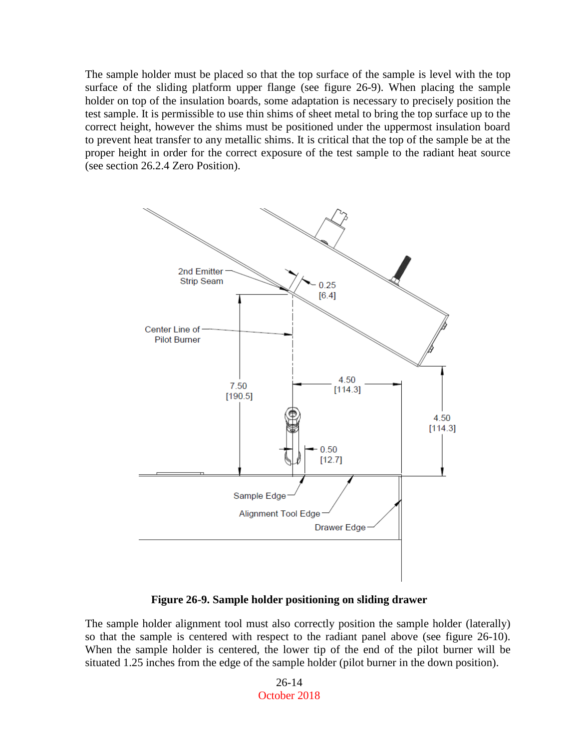The sample holder must be placed so that the top surface of the sample is level with the top surface of the sliding platform upper flange (see figure 26-9). When placing the sample holder on top of the insulation boards, some adaptation is necessary to precisely position the test sample. It is permissible to use thin shims of sheet metal to bring the top surface up to the correct height, however the shims must be positioned under the uppermost insulation board to prevent heat transfer to any metallic shims. It is critical that the top of the sample be at the proper height in order for the correct exposure of the test sample to the radiant heat source (see section 26.2.4 Zero Position).



**Figure 26-9. Sample holder positioning on sliding drawer**

The sample holder alignment tool must also correctly position the sample holder (laterally) so that the sample is centered with respect to the radiant panel above (see figure 26-10). When the sample holder is centered, the lower tip of the end of the pilot burner will be situated 1.25 inches from the edge of the sample holder (pilot burner in the down position).

> 26-14 October 2018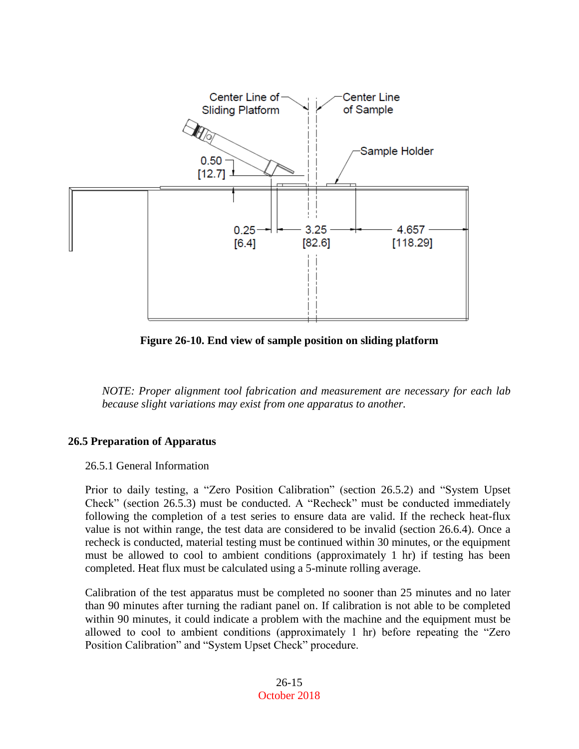

**Figure 26-10. End view of sample position on sliding platform**

*NOTE: Proper alignment tool fabrication and measurement are necessary for each lab because slight variations may exist from one apparatus to another.*

# **26.5 Preparation of Apparatus**

26.5.1 General Information

Prior to daily testing, a "Zero Position Calibration" (section 26.5.2) and "System Upset Check" (section 26.5.3) must be conducted. A "Recheck" must be conducted immediately following the completion of a test series to ensure data are valid. If the recheck heat-flux value is not within range, the test data are considered to be invalid (section 26.6.4). Once a recheck is conducted, material testing must be continued within 30 minutes, or the equipment must be allowed to cool to ambient conditions (approximately 1 hr) if testing has been completed. Heat flux must be calculated using a 5-minute rolling average.

Calibration of the test apparatus must be completed no sooner than 25 minutes and no later than 90 minutes after turning the radiant panel on. If calibration is not able to be completed within 90 minutes, it could indicate a problem with the machine and the equipment must be allowed to cool to ambient conditions (approximately 1 hr) before repeating the "Zero Position Calibration" and "System Upset Check" procedure.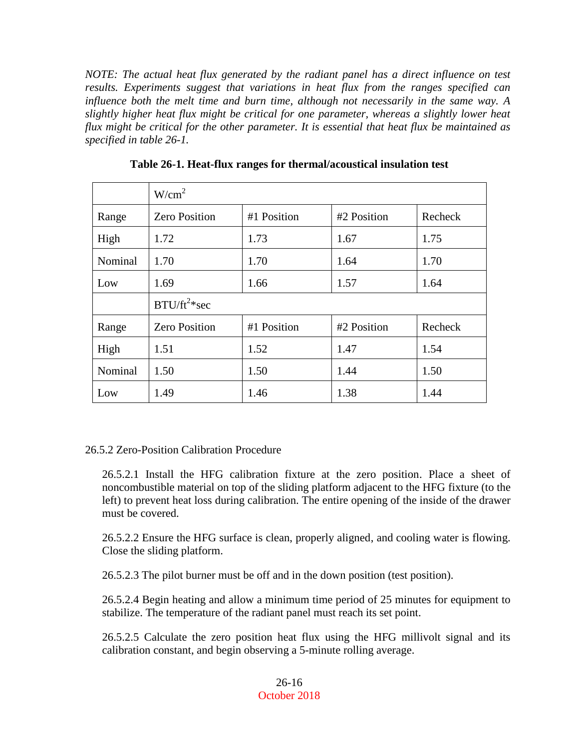*NOTE: The actual heat flux generated by the radiant panel has a direct influence on test results. Experiments suggest that variations in heat flux from the ranges specified can influence both the melt time and burn time, although not necessarily in the same way. A slightly higher heat flux might be critical for one parameter, whereas a slightly lower heat flux might be critical for the other parameter. It is essential that heat flux be maintained as specified in table 26-1.*

|         | W/cm <sup>2</sup>    |             |             |         |  |
|---------|----------------------|-------------|-------------|---------|--|
| Range   | <b>Zero Position</b> | #1 Position | #2 Position | Recheck |  |
| High    | 1.72                 | 1.73        | 1.67        | 1.75    |  |
| Nominal | 1.70                 | 1.70        | 1.64        | 1.70    |  |
| Low     | 1.69                 | 1.66        | 1.57        | 1.64    |  |
|         | $B T U/ft^2$ *sec    |             |             |         |  |
| Range   | <b>Zero Position</b> | #1 Position | #2 Position | Recheck |  |
| High    | 1.51                 | 1.52        | 1.47        | 1.54    |  |
| Nominal | 1.50                 | 1.50        | 1.44        | 1.50    |  |
| Low     | 1.49                 | 1.46        | 1.38        | 1.44    |  |

**Table 26-1. Heat-flux ranges for thermal/acoustical insulation test**

## 26.5.2 Zero-Position Calibration Procedure

26.5.2.1 Install the HFG calibration fixture at the zero position. Place a sheet of noncombustible material on top of the sliding platform adjacent to the HFG fixture (to the left) to prevent heat loss during calibration. The entire opening of the inside of the drawer must be covered.

26.5.2.2 Ensure the HFG surface is clean, properly aligned, and cooling water is flowing. Close the sliding platform.

26.5.2.3 The pilot burner must be off and in the down position (test position).

26.5.2.4 Begin heating and allow a minimum time period of 25 minutes for equipment to stabilize. The temperature of the radiant panel must reach its set point.

26.5.2.5 Calculate the zero position heat flux using the HFG millivolt signal and its calibration constant, and begin observing a 5-minute rolling average.

#### 26-16 October 2018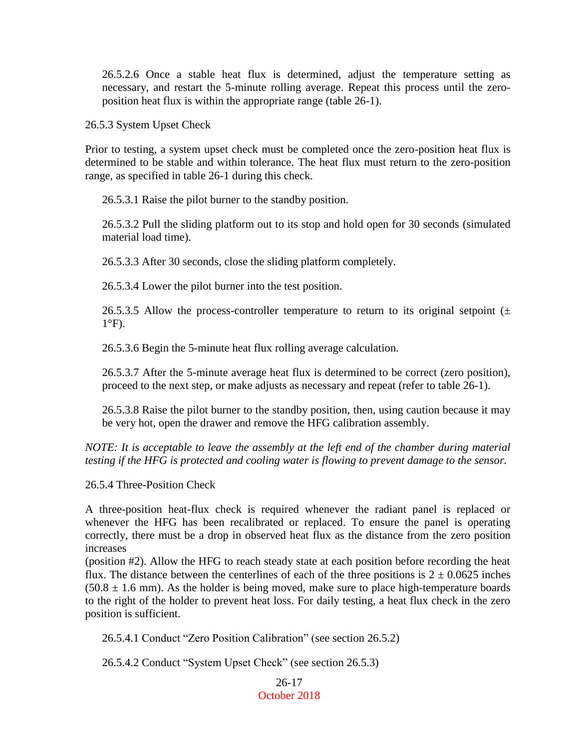26.5.2.6 Once a stable heat flux is determined, adjust the temperature setting as necessary, and restart the 5-minute rolling average. Repeat this process until the zeroposition heat flux is within the appropriate range (table 26-1).

26.5.3 System Upset Check

Prior to testing, a system upset check must be completed once the zero-position heat flux is determined to be stable and within tolerance. The heat flux must return to the zero-position range, as specified in table 26-1 during this check.

26.5.3.1 Raise the pilot burner to the standby position.

26.5.3.2 Pull the sliding platform out to its stop and hold open for 30 seconds (simulated material load time).

26.5.3.3 After 30 seconds, close the sliding platform completely.

26.5.3.4 Lower the pilot burner into the test position.

26.5.3.5 Allow the process-controller temperature to return to its original setpoint  $(\pm$  $1^{\circ}$ F).

26.5.3.6 Begin the 5-minute heat flux rolling average calculation.

26.5.3.7 After the 5-minute average heat flux is determined to be correct (zero position), proceed to the next step, or make adjusts as necessary and repeat (refer to table 26-1).

26.5.3.8 Raise the pilot burner to the standby position, then, using caution because it may be very hot, open the drawer and remove the HFG calibration assembly.

*NOTE: It is acceptable to leave the assembly at the left end of the chamber during material testing if the HFG is protected and cooling water is flowing to prevent damage to the sensor.*

26.5.4 Three-Position Check

A three-position heat-flux check is required whenever the radiant panel is replaced or whenever the HFG has been recalibrated or replaced. To ensure the panel is operating correctly, there must be a drop in observed heat flux as the distance from the zero position increases

(position #2). Allow the HFG to reach steady state at each position before recording the heat flux. The distance between the centerlines of each of the three positions is  $2 \pm 0.0625$  inches  $(50.8 \pm 1.6 \text{ mm})$ . As the holder is being moved, make sure to place high-temperature boards to the right of the holder to prevent heat loss. For daily testing, a heat flux check in the zero position is sufficient.

26.5.4.1 Conduct "Zero Position Calibration" (see section 26.5.2)

26.5.4.2 Conduct "System Upset Check" (see section 26.5.3)

26-17 October 2018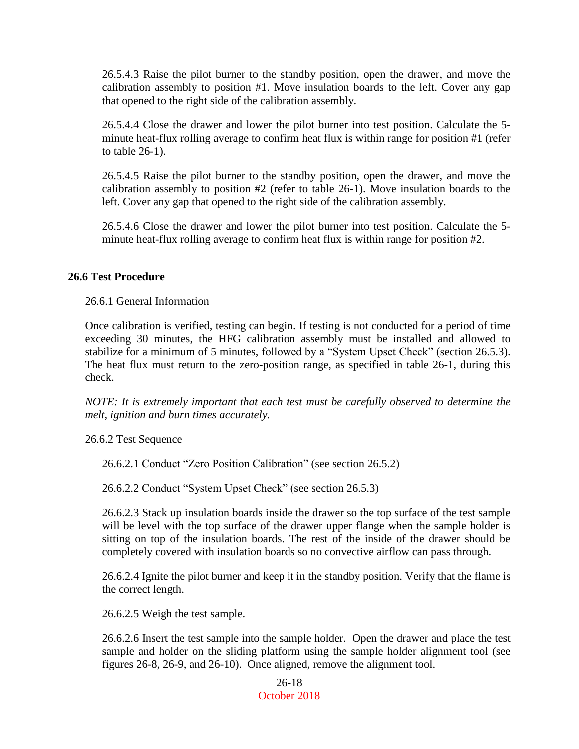26.5.4.3 Raise the pilot burner to the standby position, open the drawer, and move the calibration assembly to position #1. Move insulation boards to the left. Cover any gap that opened to the right side of the calibration assembly.

26.5.4.4 Close the drawer and lower the pilot burner into test position. Calculate the 5 minute heat-flux rolling average to confirm heat flux is within range for position #1 (refer to table 26-1).

26.5.4.5 Raise the pilot burner to the standby position, open the drawer, and move the calibration assembly to position #2 (refer to table 26-1). Move insulation boards to the left. Cover any gap that opened to the right side of the calibration assembly.

26.5.4.6 Close the drawer and lower the pilot burner into test position. Calculate the 5 minute heat-flux rolling average to confirm heat flux is within range for position #2.

### **26.6 Test Procedure**

26.6.1 General Information

Once calibration is verified, testing can begin. If testing is not conducted for a period of time exceeding 30 minutes, the HFG calibration assembly must be installed and allowed to stabilize for a minimum of 5 minutes, followed by a "System Upset Check" (section 26.5.3). The heat flux must return to the zero-position range, as specified in table 26-1, during this check.

*NOTE: It is extremely important that each test must be carefully observed to determine the melt, ignition and burn times accurately.*

26.6.2 Test Sequence

26.6.2.1 Conduct "Zero Position Calibration" (see section 26.5.2)

26.6.2.2 Conduct "System Upset Check" (see section 26.5.3)

26.6.2.3 Stack up insulation boards inside the drawer so the top surface of the test sample will be level with the top surface of the drawer upper flange when the sample holder is sitting on top of the insulation boards. The rest of the inside of the drawer should be completely covered with insulation boards so no convective airflow can pass through.

26.6.2.4 Ignite the pilot burner and keep it in the standby position. Verify that the flame is the correct length.

26.6.2.5 Weigh the test sample.

26.6.2.6 Insert the test sample into the sample holder. Open the drawer and place the test sample and holder on the sliding platform using the sample holder alignment tool (see figures 26-8, 26-9, and 26-10). Once aligned, remove the alignment tool.

> 26-18 October 2018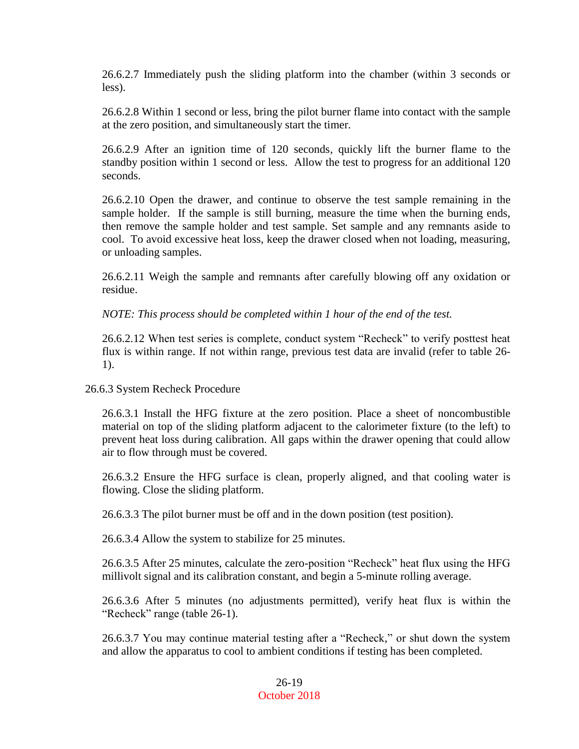26.6.2.7 Immediately push the sliding platform into the chamber (within 3 seconds or less).

26.6.2.8 Within 1 second or less, bring the pilot burner flame into contact with the sample at the zero position, and simultaneously start the timer.

26.6.2.9 After an ignition time of 120 seconds, quickly lift the burner flame to the standby position within 1 second or less. Allow the test to progress for an additional 120 seconds.

26.6.2.10 Open the drawer, and continue to observe the test sample remaining in the sample holder. If the sample is still burning, measure the time when the burning ends, then remove the sample holder and test sample. Set sample and any remnants aside to cool. To avoid excessive heat loss, keep the drawer closed when not loading, measuring, or unloading samples.

26.6.2.11 Weigh the sample and remnants after carefully blowing off any oxidation or residue.

*NOTE: This process should be completed within 1 hour of the end of the test.*

26.6.2.12 When test series is complete, conduct system "Recheck" to verify posttest heat flux is within range. If not within range, previous test data are invalid (refer to table 26- 1).

26.6.3 System Recheck Procedure

26.6.3.1 Install the HFG fixture at the zero position. Place a sheet of noncombustible material on top of the sliding platform adjacent to the calorimeter fixture (to the left) to prevent heat loss during calibration. All gaps within the drawer opening that could allow air to flow through must be covered.

26.6.3.2 Ensure the HFG surface is clean, properly aligned, and that cooling water is flowing. Close the sliding platform.

26.6.3.3 The pilot burner must be off and in the down position (test position).

26.6.3.4 Allow the system to stabilize for 25 minutes.

26.6.3.5 After 25 minutes, calculate the zero-position "Recheck" heat flux using the HFG millivolt signal and its calibration constant, and begin a 5-minute rolling average.

26.6.3.6 After 5 minutes (no adjustments permitted), verify heat flux is within the "Recheck" range (table 26-1).

26.6.3.7 You may continue material testing after a "Recheck," or shut down the system and allow the apparatus to cool to ambient conditions if testing has been completed.

> 26-19 October 2018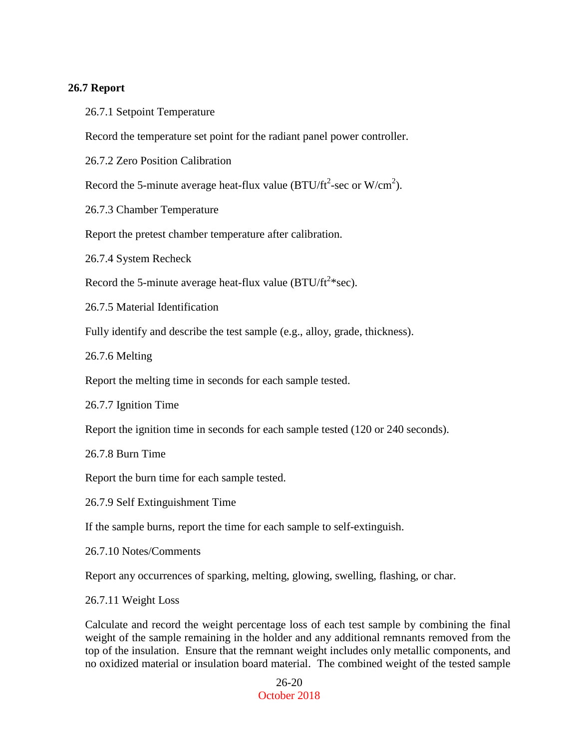#### **26.7 Report**

26.7.1 Setpoint Temperature

Record the temperature set point for the radiant panel power controller.

26.7.2 Zero Position Calibration

Record the 5-minute average heat-flux value (BTU/ft<sup>2</sup>-sec or W/cm<sup>2</sup>).

26.7.3 Chamber Temperature

Report the pretest chamber temperature after calibration.

26.7.4 System Recheck

Record the 5-minute average heat-flux value (BTU/ft<sup>2\*</sup>sec).

26.7.5 Material Identification

Fully identify and describe the test sample (e.g., alloy, grade, thickness).

26.7.6 Melting

Report the melting time in seconds for each sample tested.

26.7.7 Ignition Time

Report the ignition time in seconds for each sample tested (120 or 240 seconds).

26.7.8 Burn Time

Report the burn time for each sample tested.

26.7.9 Self Extinguishment Time

If the sample burns, report the time for each sample to self-extinguish.

26.7.10 Notes/Comments

Report any occurrences of sparking, melting, glowing, swelling, flashing, or char.

26.7.11 Weight Loss

Calculate and record the weight percentage loss of each test sample by combining the final weight of the sample remaining in the holder and any additional remnants removed from the top of the insulation. Ensure that the remnant weight includes only metallic components, and no oxidized material or insulation board material. The combined weight of the tested sample

> 26-20 October 2018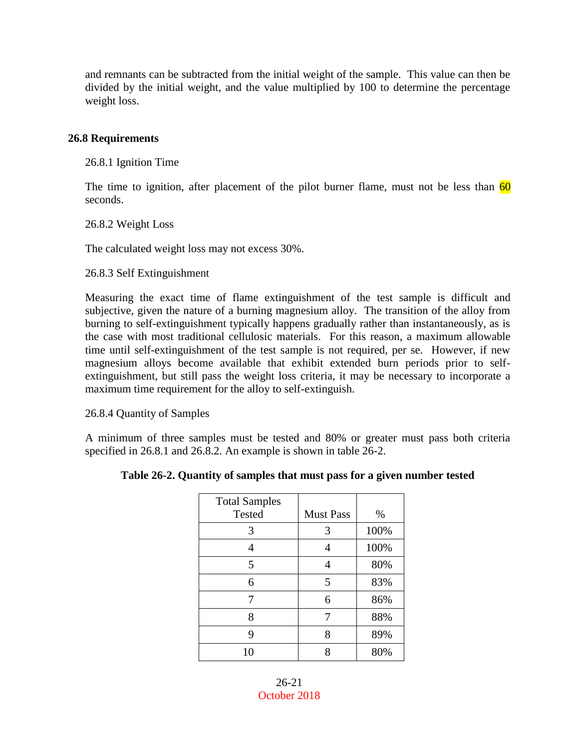and remnants can be subtracted from the initial weight of the sample. This value can then be divided by the initial weight, and the value multiplied by 100 to determine the percentage weight loss.

### **26.8 Requirements**

26.8.1 Ignition Time

The time to ignition, after placement of the pilot burner flame, must not be less than  $\frac{60}{ }$ seconds.

26.8.2 Weight Loss

The calculated weight loss may not excess 30%.

26.8.3 Self Extinguishment

Measuring the exact time of flame extinguishment of the test sample is difficult and subjective, given the nature of a burning magnesium alloy. The transition of the alloy from burning to self-extinguishment typically happens gradually rather than instantaneously, as is the case with most traditional cellulosic materials. For this reason, a maximum allowable time until self-extinguishment of the test sample is not required, per se. However, if new magnesium alloys become available that exhibit extended burn periods prior to selfextinguishment, but still pass the weight loss criteria, it may be necessary to incorporate a maximum time requirement for the alloy to self-extinguish.

26.8.4 Quantity of Samples

A minimum of three samples must be tested and 80% or greater must pass both criteria specified in 26.8.1 and 26.8.2. An example is shown in table 26-2.

| <b>Total Samples</b> |                  |      |
|----------------------|------------------|------|
| Tested               | <b>Must Pass</b> | $\%$ |

**Table 26-2. Quantity of samples that must pass for a given number tested**

| Total Samples<br><b>Tested</b> | <b>Must Pass</b> | %    |
|--------------------------------|------------------|------|
| 3                              | 3                | 100% |
|                                |                  | 100% |
| 5                              |                  | 80%  |
| 6                              | 5                | 83%  |
| 7                              | 6                | 86%  |
| 8                              | 7                | 88%  |
| 9                              | 8                | 89%  |
| 10                             |                  | 80%  |